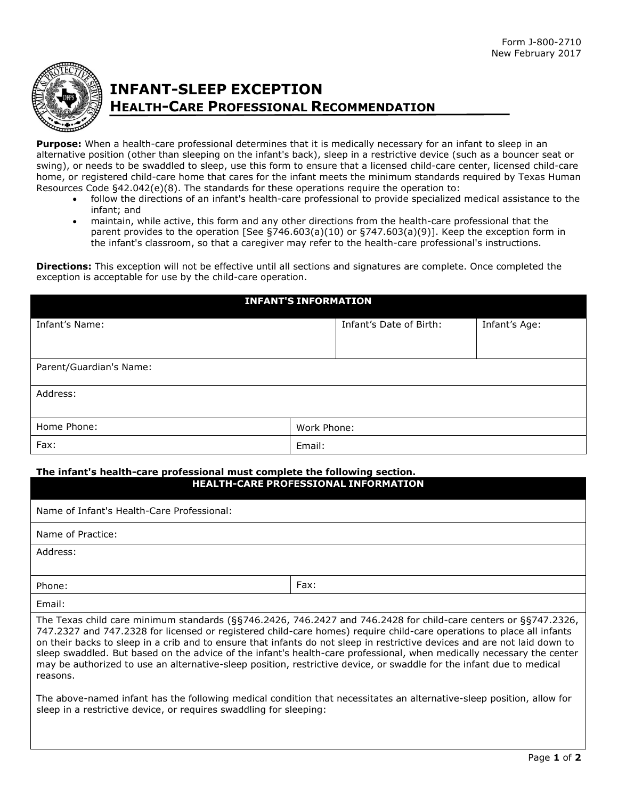

# **INFANT-SLEEP EXCEPTION HEALTH-CARE PROFESSIONAL RECOMMENDATION**

**Purpose:** When a health-care professional determines that it is medically necessary for an infant to sleep in an alternative position (other than sleeping on the infant's back), sleep in a restrictive device (such as a bouncer seat or swing), or needs to be swaddled to sleep, use this form to ensure that a licensed child-care center, licensed child-care home, or registered child-care home that cares for the infant meets the minimum standards required by Texas Human Resources Code §42.042(e)(8). The standards for these operations require the operation to:

- follow the directions of an infant's health-care professional to provide specialized medical assistance to the infant; and
- maintain, while active, this form and any other directions from the health-care professional that the parent provides to the operation [See §746.603(a)(10) or §747.603(a)(9)]. Keep the exception form in the infant's classroom, so that a caregiver may refer to the health-care professional's instructions.

**Directions:** This exception will not be effective until all sections and signatures are complete. Once completed the exception is acceptable for use by the child-care operation.

| <b>INFANT'S INFORMATION</b> |             |                         |               |  |
|-----------------------------|-------------|-------------------------|---------------|--|
| Infant's Name:              |             | Infant's Date of Birth: | Infant's Age: |  |
|                             |             |                         |               |  |
| Parent/Guardian's Name:     |             |                         |               |  |
| Address:                    |             |                         |               |  |
|                             |             |                         |               |  |
| Home Phone:                 | Work Phone: |                         |               |  |
| Fax:                        | Email:      |                         |               |  |

### **The infant's health-care professional must complete the following section. HEALTH-CARE PROFESSIONAL INFORMATION**

| Name of Infant's Health-Care Professional:                                                                                                                                                                                                                                                                                                                                                                                                                                                                                                                                                                                         |      |  |
|------------------------------------------------------------------------------------------------------------------------------------------------------------------------------------------------------------------------------------------------------------------------------------------------------------------------------------------------------------------------------------------------------------------------------------------------------------------------------------------------------------------------------------------------------------------------------------------------------------------------------------|------|--|
| Name of Practice:                                                                                                                                                                                                                                                                                                                                                                                                                                                                                                                                                                                                                  |      |  |
| Address:                                                                                                                                                                                                                                                                                                                                                                                                                                                                                                                                                                                                                           |      |  |
|                                                                                                                                                                                                                                                                                                                                                                                                                                                                                                                                                                                                                                    |      |  |
| Phone:                                                                                                                                                                                                                                                                                                                                                                                                                                                                                                                                                                                                                             | Fax: |  |
| Email:                                                                                                                                                                                                                                                                                                                                                                                                                                                                                                                                                                                                                             |      |  |
| The Texas child care minimum standards (§§746.2426, 746.2427 and 746.2428 for child-care centers or §§747.2326,<br>747.2327 and 747.2328 for licensed or registered child-care homes) require child-care operations to place all infants<br>on their backs to sleep in a crib and to ensure that infants do not sleep in restrictive devices and are not laid down to<br>sleep swaddled. But based on the advice of the infant's health-care professional, when medically necessary the center<br>may be authorized to use an alternative-sleep position, restrictive device, or swaddle for the infant due to medical<br>reasons. |      |  |

The above-named infant has the following medical condition that necessitates an alternative-sleep position, allow for sleep in a restrictive device, or requires swaddling for sleeping: